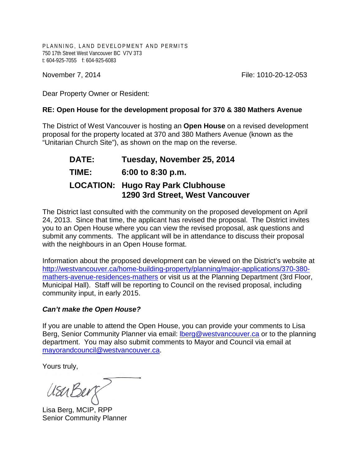PLANNING, LAND DEVELOPMENT AND PERMITS 750 17th Street West Vancouver BC V7V 3T3 t: 604-925-7055 f: 604-925-6083

November 7, 2014 **File: 1010-20-12-053** 

Dear Property Owner or Resident:

## **RE: Open House for the development proposal for 370 & 380 Mathers Avenue**

The District of West Vancouver is hosting an **Open House** on a revised development proposal for the property located at 370 and 380 Mathers Avenue (known as the "Unitarian Church Site"), as shown on the map on the reverse.

| <b>DATE:</b> | Tuesday, November 25, 2014                                                  |
|--------------|-----------------------------------------------------------------------------|
| TIME:        | 6:00 to 8:30 p.m.                                                           |
|              | <b>LOCATION: Hugo Ray Park Clubhouse</b><br>1290 3rd Street, West Vancouver |

The District last consulted with the community on the proposed development on April 24, 2013. Since that time, the applicant has revised the proposal. The District invites you to an Open House where you can view the revised proposal, ask questions and submit any comments. The applicant will be in attendance to discuss their proposal with the neighbours in an Open House format.

Information about the proposed development can be viewed on the District's website at [http://westvancouver.ca/home-building-property/planning/major-applications/370-380](http://westvancouver.ca/home-building-property/planning/major-applications/370-380-mathers-avenue-residences-mathers) [mathers-avenue-residences-mathers](http://westvancouver.ca/home-building-property/planning/major-applications/370-380-mathers-avenue-residences-mathers) or visit us at the Planning Department (3rd Floor, Municipal Hall). Staff will be reporting to Council on the revised proposal, including community input, in early 2015.

## *Can't make the Open House?*

If you are unable to attend the Open House, you can provide your comments to Lisa Berg, Senior Community Planner via email: [lberg@westvancouver.ca](mailto:lberg@westvancouver.ca) or to the planning department. You may also submit comments to Mayor and Council via email at [mayorandcouncil@westvancouver.ca.](mailto:mayorandcouncil@westvancouver.ca)

Yours truly,

UsuBer

Lisa Berg, MCIP, RPP Senior Community Planner